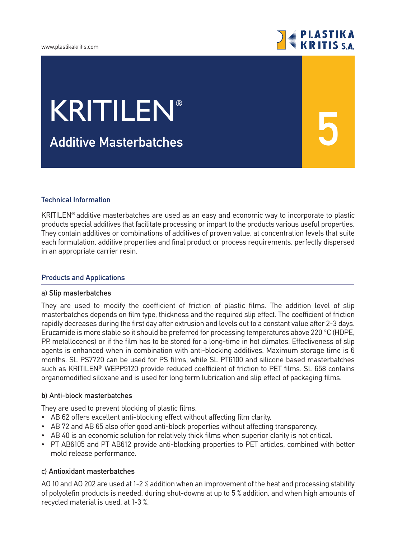#### www.plastikakritis.com

# **PLASTIKA**<br>KRITIS SA

**5**

# KRITILEN**®**

**Additive Μasterbatches**

### **Technical Information**

KRITILEN® additive masterbatches are used as an easy and economic way to incorporate to plastic products special additives that facilitate processing or impart to the products various useful properties. They contain additives or combinations of additives of proven value, at concentration levels that suite each formulation, additive properties and final product or process requirements, perfectly dispersed in an appropriate carrier resin.

#### **Products and Applications**

#### **a) Slip masterbatches**

They are used to modify the coefficient of friction of plastic films. The addition level of slip masterbatches depends on film type, thickness and the required slip effect. The coefficient of friction rapidly decreases during the first day after extrusion and levels out to a constant value after 2-3 days. Erucamide is more stable so it should be preferred for processing temperatures above 220 °C (HDPE, PP, metallocenes) or if the film has to be stored for a long-time in hot climates. Effectiveness of slip agents is enhanced when in combination with anti-blocking additives. Maximum storage time is 6 months. SL PS7720 can be used for PS films, while SL PT6100 and silicone based masterbatches such as KRITILEN® WEPP9120 provide reduced coefficient of friction to PET films. SL 658 contains organomodified siloxane and is used for long term lubrication and slip effect of packaging films.

#### **b) Anti-block masterbatches**

They are used to prevent blocking of plastic films.

- AB 62 offers excellent anti-blocking effect without affecting film clarity.
- AB 72 and AB 65 also offer good anti-block properties without affecting transparency.
- AB 40 is an economic solution for relatively thick films when superior clarity is not critical.
- PT AB6105 and PT AB612 provide anti-blocking properties to PET articles, combined with better mold release performance.

### **c) Antioxidant masterbatches**

AO 10 and AO 202 are used at 1-2 % addition when an improvement of the heat and processing stability of polyolefin products is needed, during shut-downs at up to 5 % addition, and when high amounts of recycled material is used, at 1-3 %.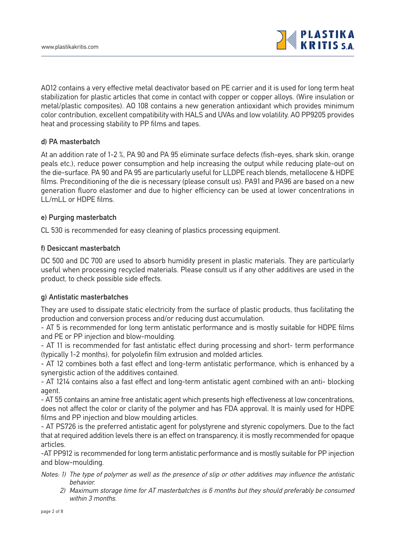

AO12 contains a very effective metal deactivator based on PE carrier and it is used for long term heat stabilization for plastic articles that come in contact with copper or copper alloys. (Wire insulation or metal/plastic composites). AO 108 contains a new generation antioxidant which provides minimum color contribution, excellent compatibility with HALS and UVAs and low volatility. ΑΟ ΡΡ9205 provides heat and processing stability to PP films and tapes.

#### **d) PA masterbatch**

At an addition rate of 1-2 %, PA 90 and PA 95 eliminate surface defects (fish-eyes, shark skin, orange peals etc.), reduce power consumption and help increasing the output while reducing plate-out on the die-surface. PA 90 and PA 95 are particularly useful for LLDPE reach blends, metallocene & HDPE films. Preconditioning of the die is necessary (please consult us). PA91 and PA96 are based on a new generation fluoro elastomer and due to higher efficiency can be used at lower concentrations in LL/mLL or HDPE films.

#### **e) Purging masterbatch**

CL 530 is recommended for easy cleaning of plastics processing equipment.

#### **f) Desiccant masterbatch**

DC 500 and DC 700 are used to absorb humidity present in plastic materials. They are particularly useful when processing recycled materials. Please consult us if any other additives are used in the product, to check possible side effects.

#### **g) Antistatic masterbatches**

They are used to dissipate static electricity from the surface of plastic products, thus facilitating the production and conversion process and/or reducing dust accumulation.

- AT 5 is recommended for long term antistatic performance and is mostly suitable for HDPE films and PE or PP injection and blow-moulding.

- AT 11 is recommended for fast antistatic effect during processing and short- term performance (typically 1-2 months), for polyolefin film extrusion and molded articles.

- AT 12 combines both a fast effect and long-term antistatic performance, which is enhanced by a synergistic action of the additives contained.

- AT 1214 contains also a fast effect and long-term antistatic agent combined with an anti- blocking agent.

- AT 55 contains an amine free antistatic agent which presents high effectiveness at low concentrations, does not affect the color or clarity of the polymer and has FDA approval. It is mainly used for HDPE films and PP injection and blow moulding articles.

- AT PS726 is the preferred antistatic agent for polystyrene and styrenic copolymers. Due to the fact that at required addition levels there is an effect on transparency, it is mostly recommended for opaque articles.

-AT PP912 is recommended for long term antistatic performance and is mostly suitable for PP injection and blow-moulding.

- Notes: 1) The type of polymer as well as the presence of slip or other additives may influence the antistatic behavior.
	- 2) Maximum storage time for AT masterbatches is 6 months but they should preferably be consumed within 3 months.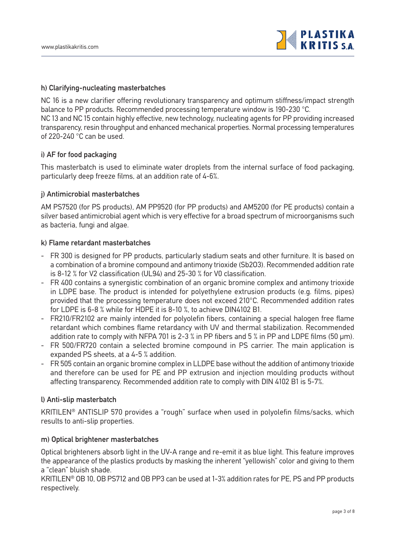

#### **h) Clarifying-nucleating masterbatches**

NC 16 is a new clarifier offering revolutionary transparency and optimum stiffness/impact strength balance to PP products. Recommended processing temperature window is 190-230 °C. NC 13 and NC 15 contain highly effective, new technology, nucleating agents for PP providing increased transparency, resin throughput and enhanced mechanical properties. Normal processing temperatures of 220-240 °C can be used.

#### **i) AF for food packaging**

This masterbatch is used to eliminate water droplets from the internal surface of food packaging, particularly deep freeze films, at an addition rate of 4-6%.

#### **j) Antimicrobial masterbatches**

AM PS7520 (for PS products), AM PP9520 (for PP products) and AM5200 (for PE products) contain a silver based antimicrobial agent which is very effective for a broad spectrum of microorganisms such as bacteria, fungi and algae.

#### **k) Flame retardant masterbatches**

- FR 300 is designed for PP products, particularly stadium seats and other furniture. It is based on a combination of a bromine compound and antimony trioxide (Sb2O3). Recommended addition rate is 8-12 % for V2 classification (UL94) and 25-30 % for V0 classification.
- FR 400 contains a synergistic combination of an organic bromine complex and antimony trioxide in LDPE base. The product is intended for polyethylene extrusion products (e.g. films, pipes) provided that the processing temperature does not exceed 210°C. Recommended addition rates for LDPE is 6-8 % while for HDPE it is 8-10 %, to achieve DIN4102 B1.
- FR210/FR2102 are mainly intended for polyolefin fibers, containing a special halogen free flame retardant which combines flame retardancy with UV and thermal stabilization. Recommended addition rate to comply with NFPA 701 is 2-3 % in PP fibers and 5 % in PP and LDPE films (50 μm).
- FR 500/FR720 contain a selected bromine compound in PS carrier. The main application is expanded PS sheets, at a 4-5 % addition.
- FR 505 contain an organic bromine complex in LLDPE base without the addition of antimony trioxide and therefore can be used for PE and PP extrusion and injection moulding products without affecting transparency. Recommended addition rate to comply with DIN 4102 B1 is 5-7%.

#### **l) Anti-slip masterbatch**

KRITILEN® ANTISLIP 570 provides a "rough" surface when used in polyolefin films/sacks, which results to anti-slip properties.

#### **m) Optical brightener masterbatches**

Optical brighteners absorb light in the UV-A range and re-emit it as blue light. This feature improves the appearance of the plastics products by masking the inherent "yellowish" color and giving to them a "clean" bluish shade.

KRITILEN® OB 10, OB PS712 and OB PP3 can be used at 1-3% addition rates for PE, PS and PP products respectively.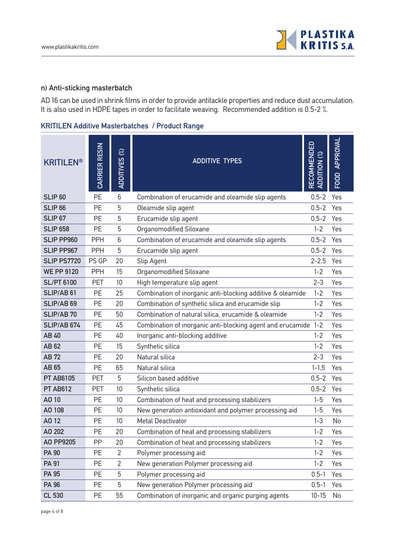

#### **n) Anti-sticking masterbatch**

AD 16 can be used in shrink films in order to provide antitackle properties and reduce dust accumulation. It is also used in HDPE tapes in order to facilitate weaving. Recommended addition is 0.5-2 %.

| <b>KRITILEN®</b>      | CARRIER RESIN | ADDITIVES (%)   | <b>ADDITIVE TYPES</b>                                          | RECOMMENDED<br>ADDITION (%) | FOOD APPROVAL |
|-----------------------|---------------|-----------------|----------------------------------------------------------------|-----------------------------|---------------|
| SLIP <sub>60</sub>    | <b>PE</b>     | 6               | Combination of erucamide and oleamide slip agents              | $0, 5 - 2$                  | Yes           |
| SLIP <sub>66</sub>    | <b>PE</b>     | 5               | Oleamide slip agent                                            | $0, 5 - 2$                  | Yes           |
| <b>SLIP 67</b>        | <b>PF</b>     | 5               | Erucamide slip agent                                           | $0.5 - 2$                   | Yes           |
| <b>SLIP 658</b>       | <b>PE</b>     | 5               | Organomodified Siloxane                                        | $1 - 2$                     | Yes           |
| <b>SLIP PP960</b>     | <b>PPH</b>    | 6               | Combination of erucamide and oleamide slip agents              | $0, 5 - 2$                  | Yes           |
| <b>SLIP PP967</b>     | <b>PPH</b>    | 5               | Erucamide slip agent                                           | $0, 5 - 2$                  | Yes           |
| <b>SLIP PS7720</b>    | PS GP         | 20              | Slip Agent                                                     | $2 - 2.5$                   | Yes           |
| <b>WE PP 9120</b>     | <b>PPH</b>    | 15              | Organomodified Siloxane                                        | $1 - 2$                     | Yes           |
| <b>SL/PT 6100</b>     | <b>PET</b>    | 10              | High temperature slip agent                                    | $2 - 3$                     | Yes           |
| SLIP/AB 61            | <b>PE</b>     | 25              | Combination of inorganic anti-blocking additive & oleamide     | $1 - 2$                     | Yes           |
| SLIP/AB <sub>69</sub> | <b>PE</b>     | 20              | Combination of synthetic silica and erucamide slip             | $1 - 2$                     | Yes           |
| <b>SLIP/AB 70</b>     | <b>PE</b>     | 50              | Combination of natural silica, erucamide & oleamide            | $1 - 2$                     | Yes           |
| SLIP/AB 674           | <b>PE</b>     | 45              | Combination of inorganic anti-blocking agent and erucamide 1-2 |                             | Yes           |
| AB 40                 | <b>PE</b>     | 40              | Inorganic anti-blocking additive                               | $1 - 2$                     | Yes           |
| AB 62                 | <b>PE</b>     | 15              | Synthetic silica                                               | $1 - 2$                     | Yes           |
| <b>AB72</b>           | <b>PE</b>     | 20              | Natural silica                                                 | $2 - 3$                     | Yes           |
| AB 65                 | <b>PE</b>     | 65              | Natural silica                                                 | $1 - 1.5$                   | Yes           |
| <b>PT AB6105</b>      | <b>PET</b>    | 5               | Silicon based additive                                         | $0, 5 - 2$                  | Yes           |
| <b>PT AB612</b>       | <b>PET</b>    | 10              | Synthetic silica                                               | $0.5 - 2$                   | Yes           |
| AO 10                 | <b>PE</b>     | 10              | Combination of heat and processing stabilizers                 | $1 - 5$                     | Yes           |
| AO 108                | <b>PE</b>     | 10              | New generation antioxidant and polymer processing aid          | $1 - 5$                     | Yes           |
| A012                  | PE            | 10 <sup>°</sup> | <b>Metal Deactivator</b>                                       | $1 - 3$                     | No            |
| AO 202                | PE.           | 20              | Combination of heat and processing stabilizers                 | $1 - 2$                     | Yes           |
| AO PP9205             | PP            | 20              | Combination of heat and processing stabilizers                 | $1 - 2$                     | Yes           |
| <b>PA 90</b>          | PE            | $\overline{2}$  | Polymer processing aid                                         | $1 - 2$                     | Yes           |
| <b>PA 91</b>          | PE            | $\overline{2}$  | New generation Polymer processing aid                          | $1 - 2$                     | Yes           |
| <b>PA 95</b>          | PE            | 5               | Polymer processing aid                                         | $0.5 - 1$                   | Yes           |
| <b>PA 96</b>          | <b>PE</b>     | 5               | New generation Polymer processing aid                          | $0.5 - 1$                   | Yes           |
| <b>CL 530</b>         | PE            | 55              | Combination of inorganic and organic purging agents            | $10 - 15$                   | No            |

## **KRITILEN Additive Masterbatches / Product Range**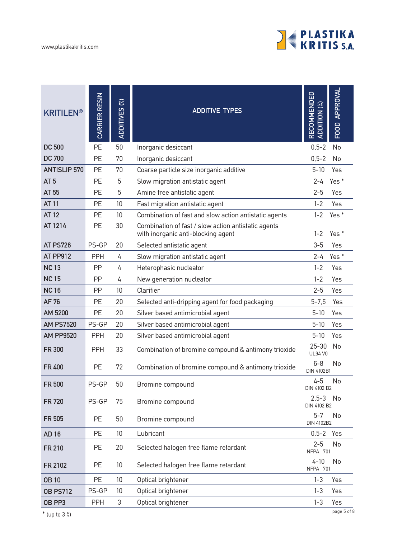

| <b>KRITILEN®</b>    | CARRIER RESIN | ADDITIVES (%) | <b>ADDITIVE TYPES</b>                                                                     | <b>RECOMMENDED</b><br>$\mathcal{E}$<br><b>ADDITION</b> | FOOD APPROVAL    |
|---------------------|---------------|---------------|-------------------------------------------------------------------------------------------|--------------------------------------------------------|------------------|
| <b>DC 500</b>       | PE            | 50            | Inorganic desiccant                                                                       | $0.5 - 2$                                              | No               |
| <b>DC 700</b>       | <b>PE</b>     | 70            | Inorganic desiccant                                                                       | $0, 5 - 2$                                             | No               |
| <b>ANTISLIP 570</b> | PE            | 70            | Coarse particle size inorganic additive                                                   | $5 - 10$                                               | Yes              |
| AT <sub>5</sub>     | <b>PE</b>     | 5             | Slow migration antistatic agent                                                           | $2 - 4$                                                | Yes <sup>*</sup> |
| AT 55               | PE            | 5             | Amine free antistatic agent                                                               | $2 - 5$                                                | Yes              |
| <b>AT 11</b>        | <b>PE</b>     | 10            | Fast migration antistatic agent                                                           | $1 - 2$                                                | Yes              |
| <b>AT 12</b>        | PE            | 10            | Combination of fast and slow action antistatic agents                                     | $1 - 2$                                                | Yes <sup>*</sup> |
| AT 1214             | PE            | 30            | Combination of fast / slow action antistatic agents<br>with inorganic anti-blocking agent | $1 - 2$                                                | Yes <sup>*</sup> |
| <b>AT PS726</b>     | PS-GP         | 20            | Selected antistatic agent                                                                 | $3 - 5$                                                | Yes              |
| AT PP912            | <b>PPH</b>    | 4             | Slow migration antistatic agent                                                           | $2 - 4$                                                | Yes <sup>*</sup> |
| <b>NC13</b>         | PP            | 4             | Heterophasic nucleator                                                                    | $1 - 2$                                                | Yes              |
| <b>NC15</b>         | PP            | 4             | New generation nucleator                                                                  | $1 - 2$                                                | Yes              |
| <b>NC16</b>         | PP            | 10            | Clarifier                                                                                 | $2 - 5$                                                | Yes              |
| <b>AF76</b>         | PE            | 20            | Selected anti-dripping agent for food packaging                                           | $5 - 7,5$                                              | Yes              |
| AM 5200             | PE            | 20            | Silver based antimicrobial agent                                                          | $5 - 10$                                               | Yes              |
| <b>AM PS7520</b>    | PS-GP         | 20            | Silver based antimicrobial agent                                                          | $5 - 10$                                               | Yes              |
| <b>AM PP9520</b>    | <b>PPH</b>    | 20            | Silver based antimicrobial agent                                                          | $5 - 10$                                               | Yes              |
| <b>FR 300</b>       | <b>PPH</b>    | 33            | Combination of bromine compound & antimony trioxide                                       | $25 - 30$<br><b>UL94 V0</b>                            | No               |
| <b>FR400</b>        | PE            | 72            | Combination of bromine compound & antimony trioxide                                       | $6 - 8$<br><b>DIN 4102B1</b>                           | No               |
| <b>FR 500</b>       | PS-GP         | 50            | Bromine compound                                                                          | $4 - 5$<br>DIN 4102 B2                                 | No               |
| <b>FR720</b>        | PS-GP         | 75            | Bromine compound                                                                          | $2.5 - 3$<br>DIN 4102 B2                               | No               |
| <b>FR 505</b>       | PE            | 50            | Bromine compound                                                                          | $5 - 7$<br>DIN 4102B2                                  | No               |
| <b>AD16</b>         | PE            | 10            | Lubricant                                                                                 | 0.5-2 Yes                                              |                  |
| <b>FR 210</b>       | PE            | 20            | Selected halogen free flame retardant                                                     | $2 - 5$<br>NFPA 701                                    | No               |
| FR 2102             | PE            | 10            | Selected halogen free flame retardant                                                     | $4 - 10$<br>NFPA 701                                   | No               |
| <b>OB10</b>         | PE            | 10            | Optical brightener                                                                        | $1 - 3$                                                | Yes              |
| <b>OB PS712</b>     | PS-GP         | 10            | Optical brightener                                                                        | $1 - 3$                                                | Yes              |
| OB PP3              | PPH           | 3             | Optical brightener                                                                        | $1 - 3$                                                | Yes              |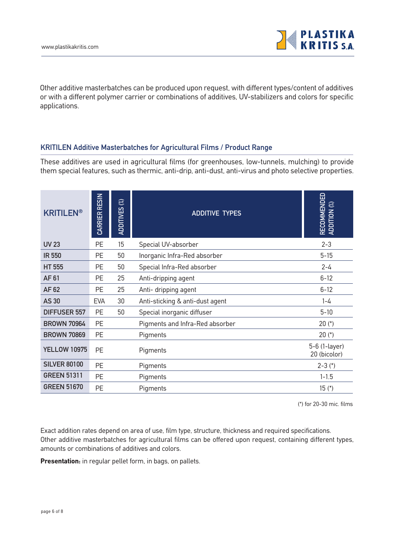

Other additive masterbatches can be produced upon request, with different types/content of additives or with a different polymer carrier or combinations of additives, UV-stabilizers and colors for specific applications.

### **KRITILEN Additive Masterbatches for Agricultural Films / Product Range**

These additives are used in agricultural films (for greenhouses, low-tunnels, mulching) to provide them special features, such as thermic, anti-drip, anti-dust, anti-virus and photo selective properties.

| <b>KRITILEN®</b>    | CARRIER RESIN | $\mathcal{C}$<br><b>ADDITIVES</b> | <b>ADDITIVE TYPES</b>           | RECOMMENDED<br>ADDITION <sup>(%)</sup> |
|---------------------|---------------|-----------------------------------|---------------------------------|----------------------------------------|
| <b>UV 23</b>        | PE            | 15                                | Special UV-absorber             | $2 - 3$                                |
| <b>IR 550</b>       | PE            | 50                                | Inorganic Infra-Red absorber    | $5 - 15$                               |
| <b>HT 555</b>       | PE            | 50                                | Special Infra-Red absorber      | 2-4                                    |
| AF 61               | PE            | 25                                | Anti-dripping agent             | $6 - 12$                               |
| AF 62               | PE            | 25                                | Anti- dripping agent            | $6 - 12$                               |
| <b>AS30</b>         | <b>EVA</b>    | 30                                | Anti-sticking & anti-dust agent | $1 - 4$                                |
| <b>DIFFUSER 557</b> | <b>PE</b>     | 50                                | Special inorganic diffuser      | $5 - 10$                               |
| <b>BROWN 70964</b>  | PE            |                                   | Pigments and Infra-Red absorber | $20 (*)$                               |
| <b>BROWN 70869</b>  | PE            |                                   | Pigments                        | $20 (*)$                               |
| <b>YELLOW 10975</b> | PE            |                                   | Pigments                        | 5-6 (1-layer)<br>20 (bicolor)          |
| <b>SILVER 80100</b> | <b>PE</b>     |                                   | Pigments                        | $2 - 3 (*)$                            |
| <b>GREEN 51311</b>  | <b>PE</b>     |                                   | Pigments                        | $1 - 1.5$                              |
| <b>GREEN 51670</b>  | <b>PE</b>     |                                   | Pigments                        | $15$ (*)                               |

(\*) for 20-30 mic. films

Exact addition rates depend on area of use, film type, structure, thickness and required specifications. Other additive masterbatches for agricultural films can be offered upon request, containing different types, amounts or combinations of additives and colors.

**Presentation:** in regular pellet form, in bags, on pallets.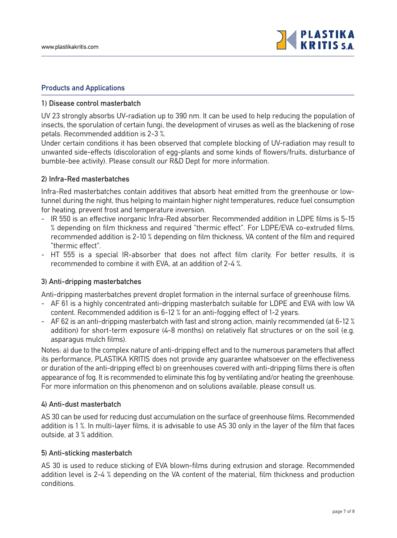

#### **Products and Applications**

#### **1) Disease control masterbatch**

UV 23 strongly absorbs UV-radiation up to 390 nm. It can be used to help reducing the population of insects, the sporulation of certain fungi, the development of viruses as well as the blackening of rose petals. Recommended addition is 2-3 %.

Under certain conditions it has been observed that complete blocking of UV-radiation may result to unwanted side-effects (discoloration of egg-plants and some kinds of flowers/fruits, disturbance of bumble-bee activity). Please consult our R&D Dept for more information.

#### **2) Infra-Red masterbatches**

Infra-Red masterbatches contain additives that absorb heat emitted from the greenhouse or lowtunnel during the night, thus helping to maintain higher night temperatures, reduce fuel consumption for heating, prevent frost and temperature inversion.

- IR 550 is an effective inorganic Infra-Red absorber. Recommended addition in LDPE films is 5-15 % depending on film thickness and required "thermic effect". For LDPE/EVA co-extruded films, recommended addition is 2-10 % depending on film thickness, VA content of the film and required "thermic effect".
- HT 555 is a special IR-absorber that does not affect film clarity. For better results, it is recommended to combine it with EVA, at an addition of 2-4 %.

#### **3) Anti-dripping masterbatches**

Anti-dripping masterbatches prevent droplet formation in the internal surface of greenhouse films.

- AF 61 is a highly concentrated anti-dripping masterbatch suitable for LDPE and EVA with low VA content. Recommended addition is 6-12 % for an anti-fogging effect of 1-2 years.
- AF 62 is an anti-dripping masterbatch with fast and strong action, mainly recommended (at 6-12 % addition) for short-term exposure (4-8 months) on relatively flat structures or on the soil (e.g. asparagus mulch films).

Notes: a) due to the complex nature of anti-dripping effect and to the numerous parameters that affect its performance, PLASTIKA KRITIS does not provide any guarantee whatsoever on the effectiveness or duration of the anti-dripping effect b) on greenhouses covered with anti-dripping films there is often appearance of fog. It is recommended to eliminate this fog by ventilating and/or heating the greenhouse. For more information on this phenomenon and on solutions available, please consult us.

#### **4) Anti-dust masterbatch**

AS 30 can be used for reducing dust accumulation on the surface of greenhouse films. Recommended addition is 1 %. In multi-layer films, it is advisable to use AS 30 only in the layer of the film that faces outside, at 3 % addition.

#### **5) Anti-sticking masterbatch**

AS 30 is used to reduce sticking of EVA blown-films during extrusion and storage. Recommended addition level is 2-4 % depending on the VA content of the material, film thickness and production conditions.